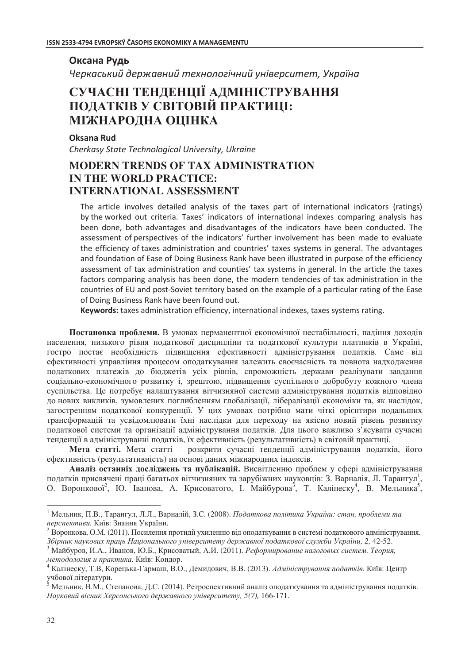## Оксана Рудь Черкаський державний технологічний університет, Україна СУЧАСНІ ТЕНДЕНЦІЇ АДМІНІСТРУВАННЯ

# ПОДАТКІВ У СВІТОВІЙ ПРАКТИЦІ: МІЖНАРОДНА ОЦІНКА

#### Oksana Rud

Cherkasy State Technological University, Ukraine

## **MODERN TRENDS OF TAX ADMINISTRATION IN THE WORLD PRACTICE: INTERNATIONAL ASSESSMENT**

The article involves detailed analysis of the taxes part of international indicators (ratings) by the worked out criteria. Taxes' indicators of international indexes comparing analysis has been done, both advantages and disadvantages of the indicators have been conducted. The assessment of perspectives of the indicators' further involvement has been made to evaluate the efficiency of taxes administration and countries' taxes systems in general. The advantages and foundation of Ease of Doing Business Rank have been illustrated in purpose of the efficiency assessment of tax administration and counties' tax systems in general. In the article the taxes factors comparing analysis has been done, the modern tendencies of tax administration in the countries of EU and post-Soviet territory based on the example of a particular rating of the Ease of Doing Business Rank have been found out.

Keywords: taxes administration efficiency, international indexes, taxes systems rating.

Постановка проблеми. В умовах перманентної економічної нестабільності, падіння доходів населення, низького рівня податкової дисципліни та податкової культури платників в Україні, гостро постає необхідність підвищення ефективності адміністрування податків. Саме від ефективності управління процесом оподаткування залежить своєчасність та повнота надходження податкових платежів до бюджетів усіх рівнів, спроможність держави реалізувати завдання соціально-економічного розвитку і, зрештою, підвищення суспільного добробуту кожного члена суспільства. Це потребує налаштування вітчизняної системи адміністрування податків відповідно до нових викликів, зумовлених поглибленням глобалізації, лібералізації економіки та, як наслідок, загостренням податкової конкуренції. У цих умовах потрібно мати чіткі орієнтири подальших трансформацій та усвіломлювати їхні наслілки для переходу на якісно новий рівень розвитку податкової системи та організації адміністрування податків. Для цього важливо з'ясувати сучасні тенденції в адмініструванні податків, їх ефективність (результативність) в світовій практиці.

Мета статті. Мета статті - розкрити сучасні тенденції адміністрування податків, його ефективність (результативність) на основі даних міжнародних індексів.

Аналіз останніх досліджень та публікацій. Висвітленню проблем у сфері адміністрування податків присвячені праці багатьох вітчизняних та зарубіжних науковців: З. Варналія, Л. Тарангул<sup>1</sup>, О. Воронкової<sup>2</sup>, Ю. Іванова, А. Крисоватого, І. Майбурова<sup>3</sup>, Т. Калінеску<sup>4</sup>, В. Мельника<sup>5</sup>,

<sup>&</sup>lt;sup>1</sup> Мельник, П.В., Тарангул, Л.Л., Варналій, З.С. (2008). Податкова політика України: стан, проблеми та перспективи. Київ: Знання України.

 $^2$ Воронкова, О.М. (2011). Посилення протидії ухиленню від оподаткування в системі податкового адміністрування. Збірник наукових праць Національного університету державної податкової служби України, 2, 42-52.

<sup>&</sup>lt;sup>3</sup> Майбуров, И.А., Иванов, Ю.Б., Крисоватый, А.И. (2011). Реформирование налоговых систем. Теория, методология и практика. Київ: Кондор.

<sup>&</sup>lt;sup>4</sup> Калінеску, Т.В, Корецька-Гармаш, В.О., Демидович, В.В. (2013). Адміністрування податків. Київ: Центр учбової літератури.

<sup>&</sup>lt;sup>5</sup> Мельник, В.М., Степанова, Д.С. (2014). Ретроспективний аналіз оподаткування та адміністрування податків. Науковий вісник Херсонського державного університету, 5(7), 166-171.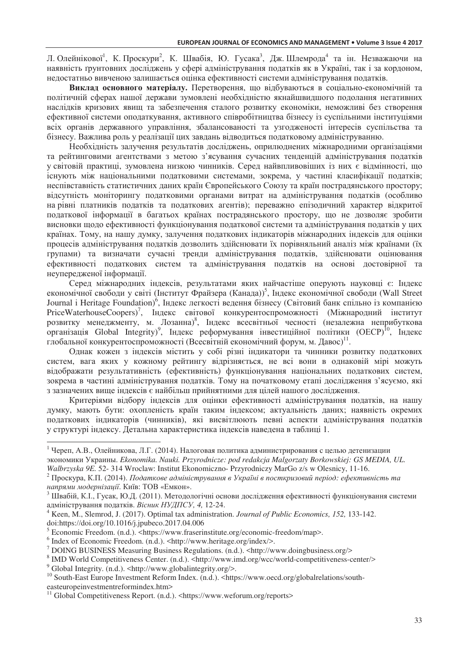Л. Олейнікової<sup>1</sup>, К. Проскури<sup>2</sup>, К. Швабія, Ю. Гусака<sup>3</sup>, Дж. Шлемрода<sup>4</sup> та ін. Незважаючи на наявність ґрунтовних досліджень у сфері адміністрування податків як в Україні, так і за кордоном, недостатньо вивченою залишається оцінка ефективності системи адміністрування податків.

Виклад основного матеріалу. Перетворення, що відбуваються в соціально-економічній та політичній сферах нашої держави зумовлені необхідністю якнайшвидшого подолання негативних наслідків кризових явищ та забезпечення сталого розвитку економіки, неможливі без створення ефективної системи оподаткування, активного співробітництва бізнесу із суспільними інституціями всіх органів державного управління, збалансованості та узгодженості інтересів суспільства та бізнесу. Важлива роль у реалізації цих завдань відводиться податковому адмініструванню.

Необхідність залучення результатів досліджень, оприлюднених міжнародними організаціями та рейтинговими агентствами з метою з'ясування сучасних тенденцій адміністрування податків у світовій практиці, зумовлена низкою чинників. Серед найвпливовіших із них є відмінності, що існують між національними податковими системами, зокрема, у частині класифікації податків; неспівставність статистичних даних країн Європейського Союзу та країн пострадянського простору; відсутність моніторингу податковими органами витрат на адміністрування податків (особливо на рівні платників податків та податкових агентів); переважно епізодичний характер відкритої податкової інформації в багатьох країнах пострадянського простору, що не дозволяє зробити висновки щодо ефективності функціонування податкової системи та адміністрування податків у цих країнах. Тому, на нашу думку, залучення податкових індикаторів міжнародних індексів для оцінки процесів адміністрування податків дозволить здійснювати їх порівняльний аналіз між країнами (їх групами) та визначати сучасні тренди адміністрування податків, здійснювати оцінювання ефективності податкових систем та адміністрування податків на основі достовірної та неупередженої інформації.

Серед міжнародних індексів, результатами яких найчастіше оперують науковці є: Індекс економічної свободи у світі (Інститут Фрайзера (Канада))<sup>5</sup>, Індекс економічної свободи (Wall Street Journal i Heritage Foundation)<sup>6</sup>, Індекс легкості ведення бізнесу (Світовий банк спільно із компанією PriceWaterhouseCoopers)<sup>7</sup>, Індекс світової конкурентоспроможності (Міжнародний інститут розвитку менеджменту, м. Лозанна)<sup>8</sup>, Індекс всесвітньої чесності (незалежна неприбуткова організація Global Integrity)<sup>9</sup>, Індекс реформування інвестиційної політики (ОЕСР)<sup>10</sup>, Індекс глобальної конкурентоспроможності (Всесвітній економічний форум, м. Давос)<sup>11</sup>.

Однак кожен з індексів містить у собі різні індикатори та чинники розвитку податкових систем, вага яких у кожному рейтингу відрізняється, не всі вони в однаковій мірі можуть відображати результативність (ефективність) функціонування національних податкових систем, зокрема в частині адміністрування податків. Тому на початковому етапі дослідження з'ясуємо, які з зазначених вище індексів є найбільш прийнятними для цілей нашого дослідження.

Критеріями відбору індексів для оцінки ефективності адміністрування податків, на нашу думку, мають бути: охопленість країн таким індексом; актуальність даних; наявність окремих податкових індикаторів (чинників), які висвітлюють певні аспекти адміністрування податків у структурі індексу. Детальна характеристика індексів наведена в таблиці 1.

 $\overline{a}$ 

 $^1$  Череп, А.В., Олейникова, Л.Г. (2014). Налоговая политика администрирования с целью детенизации экономики Украины. *Ekonomika. Nauki. Przyrodnicze: pod redakcja Malgorzaty Borkowskiej: GS MEDIA, UL. Walbrzyska 9E.* 52- 314 Wroclaw: Institut Ekonomiczno- Przyrodniczy MarGo z/s w Olesnicy, 11-16.

 $^2$  Проскура, К.П. (2014). Податкове адміністрування в Україні в посткризовий період: ефективність та напрями модернізації. Київ: ТОВ «Емкон».

 $^3$  Швабій, К.І., Гусак, Ю.Д. (2011). Методологічні основи дослідження ефективності функціонування системи адміністрування податків. Вісник НУДПСУ, 4, 12-24.

<sup>4</sup> Keen, M., Slemrod, J. (2017). Optimal tax administration. *Journal of Public Economics, 152,* 133-142. doi:https://doi.org/10.1016/j.jpubeco.2017.04.006

<sup>&</sup>lt;sup>5</sup> Economic Freedom. (n.d.). <https://www.fraserinstitute.org/economic-freedom/map>.

<sup>&</sup>lt;sup>6</sup> Index of Economic Freedom. (n.d.). <http://www.heritage.org/index/>.

<sup>7</sup> DOING BUSINESS Measuring Business Regulations. (n.d.). <http://www.doingbusiness.org/>

<sup>&</sup>lt;sup>8</sup> IMD World Competitiveness Center. (n.d.). <http://www.imd.org/wcc/world-competitiveness-center/> <sup>9</sup> Global Integrity. (n.d.). <http://www.globalintegrity.org/>.

<sup>&</sup>lt;sup>10</sup> South-East Europe Investment Reform Index. (n.d.). <https://www.oecd.org/globalrelations/southeasteuropeinvestmentreformindex.htm>

<sup>&</sup>lt;sup>11</sup> Global Competitiveness Report. (n.d.). <https://www.weforum.org/reports>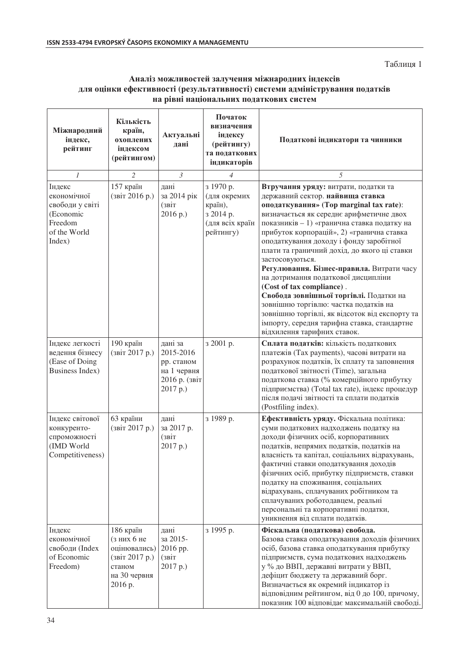Таблиця 1

#### $A$ наліз можливостей залучення міжнародних індексів для оцінки ефективності (результативності) системи адміністрування податків **на рівні національних податкових систем**

| Міжнародний<br>індекс,<br>рейтинг                                                          | Кількість<br>країн,<br>охоплених<br>інлексом<br>(рейтингом)                                    | Актуальні<br>дані                                                              | Початок<br>визначення<br>індексу<br>(рейтингу)<br>та податкових<br>індикаторів    | Податкові індикатори та чинники                                                                                                                                                                                                                                                                                                                                                                                                                                                                                                                                                                                                                                                                                |  |  |
|--------------------------------------------------------------------------------------------|------------------------------------------------------------------------------------------------|--------------------------------------------------------------------------------|-----------------------------------------------------------------------------------|----------------------------------------------------------------------------------------------------------------------------------------------------------------------------------------------------------------------------------------------------------------------------------------------------------------------------------------------------------------------------------------------------------------------------------------------------------------------------------------------------------------------------------------------------------------------------------------------------------------------------------------------------------------------------------------------------------------|--|--|
| $\mathcal{I}$                                                                              | $\overline{2}$                                                                                 | $\mathfrak{Z}$                                                                 | $\overline{4}$                                                                    | 5                                                                                                                                                                                                                                                                                                                                                                                                                                                                                                                                                                                                                                                                                                              |  |  |
| Індекс<br>економічної<br>свободи у світі<br>(Economic<br>Freedom<br>of the World<br>Index) | 157 країн<br>(звіт 2016 р.)                                                                    | дані<br>за 2014 рік<br>(звіт<br>2016 p.)                                       | з 1970 р.<br>(для окремих<br>країн),<br>з 2014 р.<br>(для всіх країн<br>рейтингу) | Втручання уряду: витрати, податки та<br>державний сектор. найвища ставка<br>оподаткування» (Top marginal tax rate):<br>визначається як середнє арифметичне двох<br>показників - 1) «гранична ставка податку на<br>прибуток корпорацій», 2) «гранична ставка<br>оподаткування доходу і фонду заробітної<br>плати та граничний дохід, до якого ці ставки<br>застосовуються.<br>Регулювання. Бізнес-правила. Витрати часу<br>на дотримання податкової дисципліни<br>(Cost of tax compliance).<br>Свобода зовнішньої торгівлі. Податки на<br>зовнішню торгівлю: частка податків на<br>зовнішню торгівлі, як відсоток від експорту та<br>імпорту, середня тарифна ставка, стандартне<br>відхилення тарифних ставок. |  |  |
| Індекс легкості<br>ведення бізнесу<br>(Ease of Doing<br>Business Index)                    | 190 країн<br>(звіт 2017 р.)                                                                    | дані за<br>2015-2016<br>рр. станом<br>на 1 червня<br>2016 р. (звіт<br>2017 p.) | з 2001 р.                                                                         | Сплата податків: кількість податкових<br>платежів (Tax payments), часові витрати на<br>розрахунок податків, їх сплату та заповнення<br>податкової звітності (Time), загальна<br>податкова ставка (% комерційного прибутку<br>підприємства) (Total tax rate), індекс процедур<br>після подачі звітності та сплати податків<br>(Postfiling index).                                                                                                                                                                                                                                                                                                                                                               |  |  |
| Індекс світової<br>конкуренто-<br>спроможності<br>(IMD World<br>Competitiveness)           | 63 країни<br>(звіт 2017 р.)                                                                    | дані<br>за 2017 р.<br>(звіт<br>2017 p.)                                        | з 1989 р.                                                                         | Ефективність уряду. Фіскальна політика:<br>суми податкових надходжень податку на<br>доходи фізичних осіб, корпоративних<br>податків, непрямих податків, податків на<br>власність та капітал, соціальних відрахувань,<br>фактичні ставки оподаткування доходів<br>фізичних осіб, прибутку підприємств, ставки<br>податку на споживання, соціальних<br>відрахувань, сплачуваних робітником та<br>сплачуваних роботодавцем, реальні<br>персональні та корпоративні податки,<br>уникнення від сплати податків.                                                                                                                                                                                                     |  |  |
| Індекс<br>економічної<br>свободи (Index<br>of Economic<br>Freedom)                         | 186 країн<br>(зних 6 не<br>оцінювались)<br>(звіт 2017 р.)<br>станом<br>на 30 червня<br>2016 p. | дані<br>за 2015-<br>2016 pp.<br>(звіт<br>2017 p.)                              | з 1995 р.                                                                         | Фіскальна (податкова) свобода.<br>Базова ставка оподаткування доходів фізичних<br>осіб, базова ставка оподаткування прибутку<br>підприємств, сума податкових надходжень<br>у % до ВВП, державні витрати у ВВП,<br>дефіцит бюджету та державний борг.<br>Визначається як окремий індикатор із<br>відповідним рейтингом, від 0 до 100, причому,<br>показник 100 відповідає максимальній свободі.                                                                                                                                                                                                                                                                                                                 |  |  |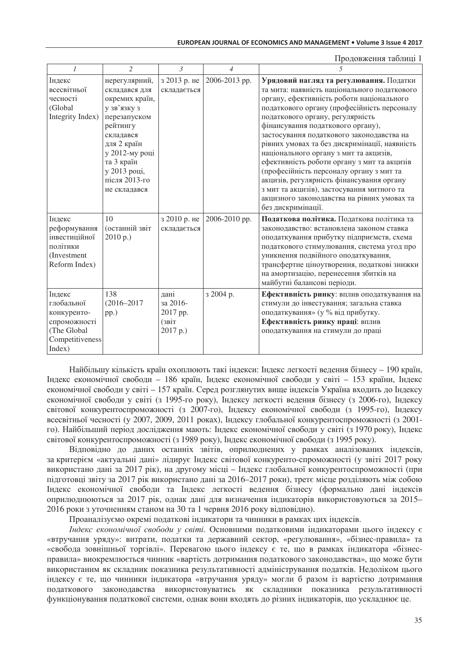Продовження таблиці 1

| $\mathcal{I}$                                                                                   | $\overline{\mathcal{L}}$                                                                                                                                                                                 | $\mathcal{E}$                                     | $\overline{\mathcal{A}}$ | - - - - - - - - - - - - - - - - - - - -<br>$\overline{5}$                                                                                                                                                                                                                                                                                                                                                                                                                                                                                                                                                                                                       |
|-------------------------------------------------------------------------------------------------|----------------------------------------------------------------------------------------------------------------------------------------------------------------------------------------------------------|---------------------------------------------------|--------------------------|-----------------------------------------------------------------------------------------------------------------------------------------------------------------------------------------------------------------------------------------------------------------------------------------------------------------------------------------------------------------------------------------------------------------------------------------------------------------------------------------------------------------------------------------------------------------------------------------------------------------------------------------------------------------|
| Індекс<br>всесвітньої<br>чесності<br>(Global<br>Integrity Index)                                | нерегулярний,<br>складався для<br>окремих країн,<br>у зв'язку з<br>перезапуском<br>рейтингу<br>складався<br>для 2 країн<br>у 2012-му році<br>та 3 країн<br>у 2013 році,<br>після 2013-го<br>не складався | з 2013 р. не<br>складається                       | 2006-2013 pp.            | Урядовий нагляд та регулювання. Податки<br>та мита: наявність національного податкового<br>органу, ефективність роботи національного<br>податкового органу (професійність персоналу<br>податкового органу, регулярність<br>фінансування податкового органу),<br>застосування податкового законодавства на<br>рівних умовах та без дискримінації, наявність<br>національного органу з мит та акцизів,<br>ефективність роботи органу з мит та акцизів<br>(професійність персоналу органу з мит та<br>акцизів, регулярність фінансування органу<br>з мит та акцизів), застосування митного та<br>акцизного законодавства на рівних умовах та<br>без дискримінації. |
| Індекс<br>реформування<br>інвестиційної<br>політики<br>(Investment<br>Reform Index)             | 10<br>(останній звіт<br>2010 p.)                                                                                                                                                                         | з 2010 р. не<br>складається                       | 2006-2010 pp.            | Податкова політика. Податкова політика та<br>законодавство: встановлена законом ставка<br>оподаткування прибутку підприємств, схема<br>податкового стимулювання, система угод про<br>уникнення подвійного оподаткування,<br>трансфертне ціноутворення, податкові знижки<br>на амортизацію, перенесення збитків на<br>майбутні балансові періоди.                                                                                                                                                                                                                                                                                                                |
| Індекс<br>глобальної<br>конкуренто-<br>спроможності<br>(The Global<br>Competitiveness<br>Index) | 138<br>$(2016 - 2017)$<br>pp.)                                                                                                                                                                           | дані<br>за 2016-<br>2017 pp.<br>(звіт<br>2017 p.) | з 2004 р.                | Ефективність ринку: вплив оподаткування на<br>стимули до інвестування; загальна ставка<br>оподаткування» (у % від прибутку.<br>Ефективність ринку праці: вплив<br>оподаткування на стимули до праці                                                                                                                                                                                                                                                                                                                                                                                                                                                             |

Найбільшу кількість країн охоплюють такі індекси: Індекс легкості ведення бізнесу – 190 країн, Індекс економічної свободи - 186 країн, Індекс економічної свободи у світі - 153 країни, Індекс економічної свободи у світі – 157 країн. Серед розглянутих вище індексів Україна входить до Індексу економічної свободи у світі (з 1995-го року), Індексу легкості ведення бізнесу (з 2006-го), Індексу світової конкурентоспроможності (з 2007-го), Індексу економічної свободи (з 1995-го), Індексу всесвітньої чесності (у 2007, 2009, 2011 роках), Індексу глобальної конкурентоспроможності (з 2001го). Найбільший період дослідження мають: Індекс економічної свободи у світі (з 1970 року), Індекс світової конкурентоспроможності (з 1989 року), Індекс економічної свободи (з 1995 року).

Відповідно до даних останніх звітів, оприлюднених у рамках аналізованих індексів, за критерієм «актуальні дані» лідирує Індекс світової конкуренто-спроможності (у звіті 2017 року використано дані за 2017 рік), на другому місці – Індекс глобальної конкурентоспроможності (при підготовці звіту за 2017 рік використано дані за 2016–2017 роки), третє місце розділяють між собою Індекс економічної свободи та Індекс легкості ведення бізнесу (формально дані індексів оприлюднюються за 2017 рік, однак дані для визначення індикаторів використовуються за 2015– 2016 роки з уточненням станом на 30 та 1 червня 2016 року відповідно).

Проаналізуємо окремі податкові індикатори та чинники в рамках цих індексів.

*Індекс економічної свободи у світі*. Основними податковими індикаторами цього індексу є «втручання уряду»: витрати, податки та державний сектор, «регулювання», «бізнес-правила» та «свобода зовнішньої торгівлі». Перевагою цього індексу є те, що в рамках індикатора «бізнесправила» виокремлюється чинник «вартість дотримання податкового законодавства», що може бути використаним як складник показника результативності адміністрування податків. Недоліком цього індексу є те, що чинники індикатора «втручання уряду» могли б разом із вартістю дотримання податкового законодавства використовуватись як складники показника результативності функціонування податкової системи, однак вони входять до різних індикаторів, що ускладнює це.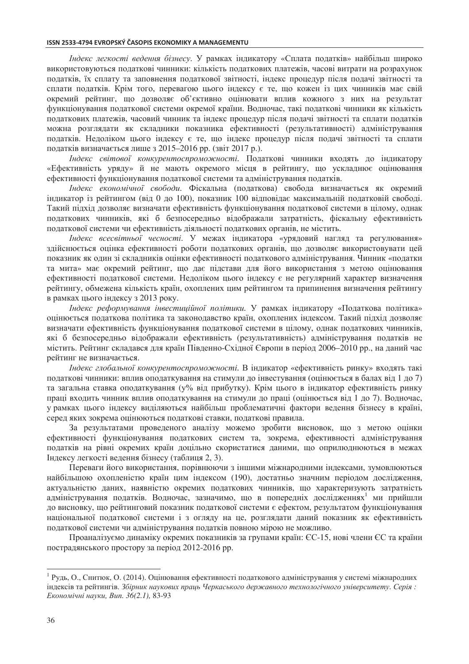#### ISSN 2533-4794 EVROPSKÝ ČASOPIS EKONOMIKY A MANAGEMENTU

*Індекс легкості ведення бізнесу*. У рамках індикатору «Сплата податків» найбільш широко використовуються податкові чинники: кількість податкових платежів, часові витрати на розрахунок податків, їх сплату та заповнення податкової звітності, індекс процедур після подачі звітності та сплати податків. Крім того, перевагою цього індексу є те, що кожен із цих чинників має свій окремий рейтинг, що дозволяє об'єктивно оцінювати вплив кожного з них на результат функціонування полаткової системи окремої країни. Волночас, такі полаткові чинники як кількість податкових платежів, часовий чинник та індекс процедур після подачі звітності та сплати податків можна розглядати як складники показника ефективності (результативності) адміністрування податків. Недоліком цього індексу є те, що індекс процедур після подачі звітності та сплати податків визначається лише з 2015-2016 рр. (звіт 2017 р.).

Індекс світової конкурентоспроможності. Податкові чинники входять до індикатору «Ефективність уряду» й не мають окремого місця в рейтингу, що ускладнює оцінювання ефективності функціонування податкової системи та адміністрування податків.

Індекс економічної свободи. Фіскальна (податкова) свобода визначається як окремий індикатор із рейтингом (від 0 до 100), показник 100 відповідає максимальній податковій свободі. Такий підхід дозволяє визначати ефективність функціонування податкової системи в цілому, однак податкових чинників, які б безпосередньо відображали затратність, фіскальну ефективність податкової системи чи ефективність діяльності податкових органів, не містить.

Індекс всесвітньої чесності. У межах індикатора «урядовий нагляд та регулювання» здійснюється оцінка ефективності роботи податкових органів, що дозволяє використовувати цей показник як один зі складників оцінки ефективності податкового адміністрування. Чинник «податки та мита» має окремий рейтинг, що дає підстави для його використання з метою оцінювання ефективності податкової системи. Недоліком цього індексу є не регулярний характер визначення рейтингу, обмежена кількість країн, охоплених цим рейтингом та припинення визначення рейтингу в рамках цього індексу з 2013 року.

Індекс реформування інвестиційної політики. У рамках індикатору «Податкова політика» оцінюється податкова політика та законодавство країн, охоплених індексом. Такий підхід дозволяє визначати ефективність функціонування податкової системи в цілому, однак податкових чинників, які б безпосередньо відображали ефективність (результативність) адміністрування податків не містить. Рейтинг складався для країн Південно-Східної Європи в період 2006-2010 рр., на даний час рейтинг не визначається.

Індекс глобальної конкурентоспроможності. В індикатор «ефективність ринку» входять такі податкові чинники: вплив оподаткування на стимули до інвестування (оцінюється в балах від 1 до 7) та загальна ставка оподаткування (у% від прибутку). Крім цього в індикатор ефективність ринку праці входить чинник вплив оподаткування на стимули до праці (оцінюється від 1 до 7). Водночас, у рамках цього індексу виділяються найбільш проблематичні фактори ведення бізнесу в країні, серед яких зокрема оцінюються податкові ставки, податкові правила.

За результатами проведеного аналізу можемо зробити висновок, що з метою оцінки ефективності функціонування податкових систем та, зокрема, ефективності адміністрування податків на рівні окремих країн доцільно скористатися даними, що оприлюднюються в межах Індексу легкості ведення бізнесу (таблиця 2, 3).

Переваги його використання, порівнюючи з іншими міжнародними індексами, зумовлюються найбільшою охопленістю країн цим індексом (190), достатньо значним періодом дослідження, актуальністю даних, наявністю окремих податкових чинників, що характеризують затратність адміністрування податків. Водночас, зазначимо, що в попередніх дослідженнях<sup>1</sup> ми прийшли до висновку, що рейтинговий показник податкової системи є ефектом, результатом функціонування національної податкової системи і з огляду на це, розглядати даний показник як ефективність податкової системи чи адміністрування податків повною мірою не можливо.

Проаналізуємо динаміку окремих показників за групами країн: ЄС-15, нові члени ЄС та країни пострадянського простору за період 2012-2016 рр.

<sup>&</sup>lt;sup>1</sup> Рудь, О., Снитюк, О. (2014). Оцінювання ефективності податкового адміністрування у системі міжнародних індексів та рейтингів. Збірник наукових праць Черкаського державного технологічного університету. Серія: Економічні науки, Вип. 36(2.1), 83-93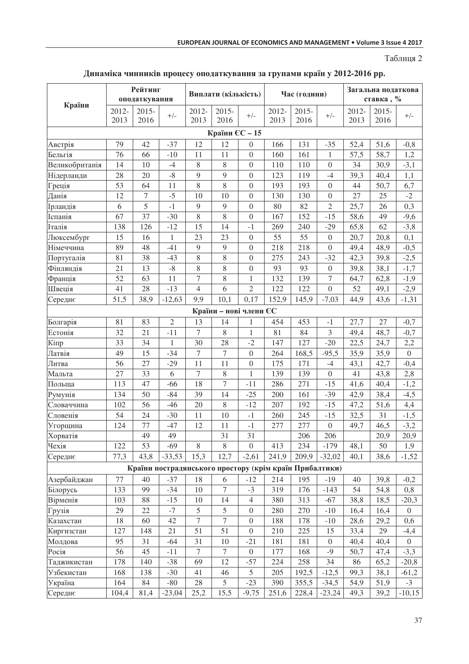Таблиця 2

### Динаміка чинників процесу оподаткування за групами країн у 2012-2016 рр.

|                                                         | Рейтинг       |                  | Виплати (кількість) |                  |                        | Час (години)     |               |                  | Загальна податкова |               |                  |                |
|---------------------------------------------------------|---------------|------------------|---------------------|------------------|------------------------|------------------|---------------|------------------|--------------------|---------------|------------------|----------------|
| Країни                                                  | оподаткування |                  |                     |                  |                        |                  |               |                  | ставка, %          |               |                  |                |
|                                                         | 2012-<br>2013 | $2015 -$<br>2016 | $+/-$               | 2012-<br>2013    | $2015 -$<br>2016       | $+/-$            | 2012-<br>2013 | $2015 -$<br>2016 | $+/-$              | 2012-<br>2013 | $2015 -$<br>2016 | $+/-$          |
| Країни ЄС - 15                                          |               |                  |                     |                  |                        |                  |               |                  |                    |               |                  |                |
| Австрія                                                 | 79            | 42               | $-37$               | 12               | 12                     | $\boldsymbol{0}$ | 166           | 131              | $-35$              | 52,4          | 51,6             | $-0,8$         |
| Бельгія                                                 | 76            | 66               | $-10$               | 11               | 11                     | $\theta$         | 160           | 161              | 1                  | 57,5          | 58,7             | 1,2            |
| Великобританія                                          | 14            | 10               | $-4$                | $8\,$            | $8\,$                  | $\boldsymbol{0}$ | 110           | 110              | $\overline{0}$     | 34            | 30,9             | $-3,1$         |
| Нідерланди                                              | 28            | 20               | $-8$                | 9                | 9                      | $\overline{0}$   | 123           | 119              | $-4$               | 39,3          | 40,4             | 1,1            |
| Греція                                                  | 53            | 64               | 11                  | $\,8\,$          | $\,8\,$                | $\boldsymbol{0}$ | 193           | 193              | $\boldsymbol{0}$   | 44            | 50,7             | 6,7            |
| Данія                                                   | 12            | $\overline{7}$   | $-5$                | 10               | 10                     | $\boldsymbol{0}$ | 130           | 130              | $\boldsymbol{0}$   | 27            | 25               | $-2$           |
| Ірландія                                                | $\sqrt{6}$    | 5                | $-1$                | 9                | $\overline{9}$         | $\boldsymbol{0}$ | 80            | 82               | $\mathfrak{2}$     | 25,7          | 26               | 0,3            |
| Іспанія                                                 | 67            | 37               | $-30$               | $\, 8$           | $\,$ 8 $\,$            | $\boldsymbol{0}$ | 167           | 152              | $-15$              | 58,6          | 49               | $-9,6$         |
| Італія                                                  | 138           | 126              | $-12$               | 15               | 14                     | $-1$             | 269           | 240              | $-29$              | 65,8          | 62               | $-3,8$         |
| Люксембург                                              | 15            | 16               | $\mathbf{1}$        | 23               | 23                     | $\overline{0}$   | 55            | 55               | $\boldsymbol{0}$   | 20,7          | 20,8             | 0,1            |
| Німеччина                                               | 89            | 48               | $-41$               | $\overline{9}$   | 9                      | $\boldsymbol{0}$ | 218           | 218              | $\boldsymbol{0}$   | 49,4          | 48,9             | $-0,5$         |
| Португалія                                              | 81            | 38               | $-43$               | $8\,$            | $8\,$                  | $\boldsymbol{0}$ | 275           | 243              | $-32$              | 42,3          | 39,8             | $-2,5$         |
| Фінляндія                                               | 21            | 13               | $-8$                | $8\,$            | 8                      | $\overline{0}$   | 93            | 93               | $\overline{0}$     | 39,8          | 38,1             | $-1,7$         |
| Франція                                                 | 52            | 63               | 11                  | $\overline{7}$   | $8\,$                  | $\mathbf{1}$     | 132           | 139              | $\overline{7}$     | 64,7          | 62,8             | $-1,9$         |
| Швеція                                                  | 41            | 28               | $-13$               | $\overline{4}$   | 6                      | $\overline{2}$   | 122           | 122              | $\boldsymbol{0}$   | 52            | 49,1             | $-2,9$         |
| Середнє                                                 | 51,5          | 38,9             | $-12,63$            | 9,9              | 10,1                   | 0,17             | 152,9         | 145,9            | $-7,03$            | 44,9          | 43,6             | $-1,31$        |
|                                                         |               |                  |                     |                  | Країни - нові члени ЄС |                  |               |                  |                    |               |                  |                |
| Болгарія                                                | 81            | 83               | $\overline{2}$      | 13               | 14                     | $\mathbf{1}$     | 454           | 453              | $-1$               | 27,7          | 27               | $-0,7$         |
| Естонія                                                 | 32            | 21               | $-11$               | $\tau$           | $\,$ 8 $\,$            | $\mathbf{1}$     | 81            | 84               | $\mathfrak{Z}$     | 49,4          | 48,7             | $-0,7$         |
| Кіпр                                                    | 33            | 34               | 1                   | 30               | 28                     | $-2$             | 147           | 127              | $-20$              | 22,5          | 24,7             | 2,2            |
| Латвія                                                  | 49            | 15               | $-34$               | $\boldsymbol{7}$ | $\tau$                 | $\overline{0}$   | 264           | 168,5            | $-95,5$            | 35,9          | 35,9             | $\theta$       |
| Литва                                                   | 56            | 27               | $-29$               | 11               | 11                     | $\boldsymbol{0}$ | 175           | 171              | $-4$               | 43,1          | 42,7             | $-0,4$         |
| Мальта                                                  | 27            | 33               | 6                   | $\overline{7}$   | $\,$ 8 $\,$            | $\mathbf{1}$     | 139           | 139              | $\overline{0}$     | 41            | 43,8             | 2,8            |
| Польща                                                  | 113           | 47               | $-66$               | 18               | $\tau$                 | $-11$            | 286           | 271              | $-15$              | 41,6          | 40,4             | $-1,2$         |
| Румунія                                                 | 134           | $\overline{50}$  | $-84$               | 39               | 14                     | $-25$            | 200           | 161              | $-39$              | 42,9          | 38,4             | $-4,5$         |
| Словаччина                                              | 102           | 56               | $-46$               | 20               | $\,$ 8 $\,$            | $-12$            | 207           | 192              | $-15$              | 47,2          | 51,6             | 4,4            |
| Словенія                                                | 54            | 24               | $-30$               | 11               | 10                     | $-1$             | 260           | 245              | $-15$              | 32,5          | 31               | $-1,5$         |
| Угорщина                                                | 124           | 77               | $-47$               | 12               | 11                     | $-1$             | 277           | 277              | $\boldsymbol{0}$   | 49,7          | 46,5             | $-3,2$         |
| Хорватія                                                |               | 49               | 49                  |                  | 31                     | 31               |               | 206              | 206                |               | 20,9             | 20,9           |
| Чехія                                                   | 122           | 53               | $-69$               | 8                | $\,$ 8 $\,$            | $\overline{0}$   | 413           | 234              | $-179$             | 48,1          | 50               | 1,9            |
| Середнє                                                 | 77,3          | 43,8             | $-33,53$            | 15,3             | 12,7                   | $-2,61$          | 241,9         | 209,9            | $-32,02$           | 40,1          | 38,6             | $-1,52$        |
| Країни пострадянського простору (крім країн Прибалтики) |               |                  |                     |                  |                        |                  |               |                  |                    |               |                  |                |
| Азербайджан                                             | 77            | 40               | $-37$               | 18               | 6                      | $-12$            | 214           | 195              | $-19$              | 40            | 39,8             | $-0,2$         |
| Білорусь                                                | 133           | 99               | $-34$               | 10               | 7                      | $-3$             | 319           | 176              | $-143$             | 54            | 54,8             | 0,8            |
| Вірменія                                                | 103           | 88               | $-15$               | 10               | 14                     | $\overline{4}$   | 380           | 313              | $-67$              | 38,8          | 18,5             | $-20,3$        |
| Грузія                                                  | 29            | $22\,$           | $-7$                | 5                | 5                      | $\boldsymbol{0}$ | 280           | 270              | $-10$              | 16,4          | 16,4             | $\overline{0}$ |
| Казахстан                                               | 18            | 60               | 42                  | $\overline{7}$   | $\overline{7}$         | $\boldsymbol{0}$ | 188           | 178              | $-10$              | 28,6          | 29,2             | 0,6            |
| Киргизстан                                              | 127           | 148              | 21                  | 51               | 51                     | $\boldsymbol{0}$ | 210           | 225              | 15                 | 33,4          | 29               | $-4,4$         |
| Молдова                                                 | 95            | 31               | $-64$               | 31               | 10                     | $-21$            | 181           | 181              | $\mathbf{0}$       | 40,4          | 40,4             | $\overline{0}$ |
| Росія                                                   | 56            | 45               | $-11$               | $\boldsymbol{7}$ | $\tau$                 | $\overline{0}$   | 177           | 168              | $-9$               | 50,7          | 47,4             | $-3,3$         |
| Таджикистан                                             | 178           | 140              | $-38$               | 69               | 12                     | $-57$            | 224           | 258              | 34                 | 86            | 65,2             | $-20,8$        |
| Узбекистан                                              | 168           | 138              | $-30$               | 41               | 46                     | 5                | 205           | 192,5            | $-12,5$            | 99,3          | 38,1             | $-61,2$        |
| Україна                                                 | 164           | 84               | $-80$               | 28               | 5                      | $-23$            | 390           | 355,5            | $-34,5$            | 54,9          | 51,9             | $-3$           |
| Середнє                                                 | 104,4         | 81,4             | $-23,04$            | 25,2             | 15,5                   | $-9,75$          | 251,6         | 228,4            | $-23,24$           | 49,3          | 39,2             | $-10,15$       |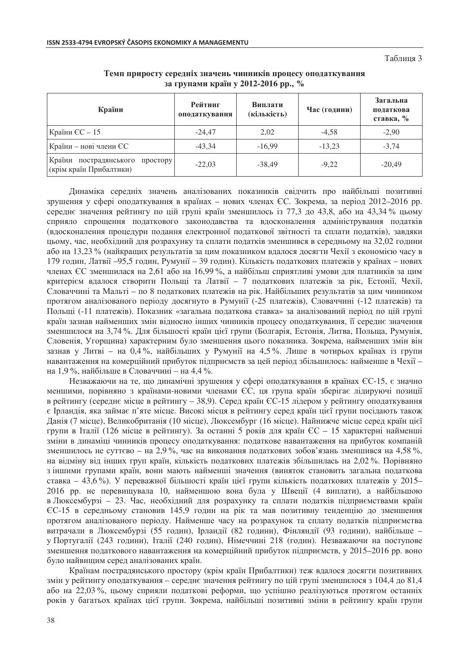Таблиня 3

| Країни                                                           | Рейтинг<br>оподаткування | Виплати<br>(кількість) | Час (години) | Загальна<br>податкова<br>ставка, % |  |
|------------------------------------------------------------------|--------------------------|------------------------|--------------|------------------------------------|--|
| Країни $CC - 15$                                                 | $-24.47$                 | 2,02                   | $-4,58$      | $-2,90$                            |  |
| Країни - нові члени ЄС                                           | $-43,34$                 | $-16,99$               | $-13,23$     | $-3.74$                            |  |
| Країни<br>пострадянського<br>простору<br>(крім країн Прибалтики) | $-22,03$                 | $-38.49$               | $-9,22$      | $-20,49$                           |  |

Темп приросту середніх значень чинників процесу оподаткування за групами країн у 2012-2016 рр., %

Динаміка середніх значень аналізованих показників свідчить про найбільші позитивні зрушення у сфері оподаткування в країнах – нових членах ЄС. Зокрема, за період 2012–2016 рр. середнє значення рейтингу по цій групі країн зменшилось із 77,3 до 43,8, або на 43,34 % цьому сприяло спрощення податкового законодавства та вдосконалення адміністрування податків (вдосконалення процедури подання електронної податкової звітності та сплати податків), завдяки цьому, час, необхідний для розрахунку та сплати податків зменшився в середньому на 32.02 години або на 13.23 % (найкращих результатів за цим показником вдалося досягти Чехії з економією часу в 179 годин, Латвії –95,5 годин, Румунії – 39 годин). Кількість податкових платежів у країнах – нових членах ЄС зменшилася на 2,61 або на 16,99%, а найбільш сприятливі умови для платників за цим критерієм влалося створити Польші та Латвії – 7 полаткових платежів за рік. Естонії. Чехії. Словаччині та Мальті - по 8 податкових платежів на рік. Найбільших результатів за цим чинником протягом аналізованого періоду досягнуто в Румунії (-25 платежів), Словаччині (-12 платежів) та Польщі (-11 платежів). Показник «загальна податкова ставка» за аналізований період по цій групі країн зазнав найменших змін відносно інших чинників процесу оподаткування, її середнє значення зменшилося на 3,74 %. Для більшості країн цієї групи (Болгарія, Естонія, Литва, Польща, Румунія, Словенія, Угорщина) характерним було зменшення цього показника. Зокрема, найменших змін він зазнав у Литві - на 0,4%, найбільших у Румунії на 4,5%. Лише в чотирьох країнах із групи навантаження на комерційний прибуток підприємств за цей період збільшилось: найменше в Чехії на 1,9 %, найбільше в Словаччині – на 4,4 %.

Незважаючи на те, що динамічні зрушення у сфері оподаткування в країнах ЄС-15, є значно меншими, порівняно з країнами-новими членами ЄС, ця група країн зберігає лідируючі позиції в рейтингу (середнє місце в рейтингу - 38,9). Серед країн ЄС-15 лідером у рейтингу оподаткування є Ірландія, яка займає п'яте місце. Високі місця в рейтингу серед країн цієї групи посідають також Данія (7 місце), Великобританія (10 місце), Люксембург (16 місце). Найнижче місце серед країн цієї групи в Італії (126 місце в рейтингу). За останні 5 років для країн ЄС – 15 характерні найменші зміни в динаміці чинників процесу оподаткування: податкове навантаження на прибуток компаній зменшилось не суттєво – на 2,9 %, час на виконання податкових зобов'язань зменшився на 4,58 %, на відміну від інших груп країн, кількість податкових платежів збільшилась на 2,02%. Порівняно з іншими групами країн, вони мають найменші значення (виняток становить загальна податкова ставка – 43,6%). У переважної більшості країн цієї групи кількість податкових платежів у 2015-2016 рр. не перевищувала 10, найменшою вона була у Швеції (4 виплати), а найбільшою в Люксембурзі - 23. Час, необхідний для розрахунку та сплати податків підприємствами країн €С-15 в середньому становив 145,9 годин на рік та мав позитивну тенденцію до зменшення протягом аналізованого періоду. Найменше часу на розрахунок та сплату податків підприємства витрачали в Люксембурзі (55 годин), Ірландії (82 години), Фінляндії (93 години), найбільше у Португалії (243 години), Італії (240 годин), Німеччині 218 (годин). Незважаючи на поступове зменшення податкового навантаження на комерційний прибуток підприємств, у 2015–2016 рр. воно було найвищим серед аналізованих країн.

Країнам пострадянського простору (крім країн Прибалтики) теж вдалося досягти позитивних змін у рейтингу оподаткування – середнє значення рейтингу по цій групі зменшилося з 104,4 до 81,4 або на 22,03 %, цьому сприяли податкові реформи, що успішно реалізуються протягом останніх років у багатьох країнах цієї групи. Зокрема, найбільші позитивні зміни в рейтингу країн групи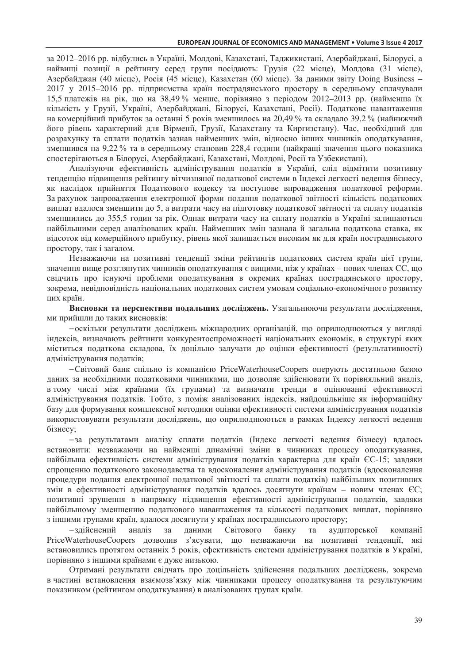за 2012–2016 рр. відбулись в Україні, Молдові, Казахстані, Таджикистані, Азербайджані, Білорусі, а найвищі позиції в рейтингу серед групи посідають: Грузія (22 місце), Молдова (31 місце), Азербайджан (40 місце), Росія (45 місце), Казахстан (60 місце). За даними звіту Doing Business -2017 у 2015-2016 рр. підприємства країн пострадянського простору в середньому сплачували 15,5 платежів на рік, що на 38,49% менше, порівняно з періодом 2012-2013 рр. (найменша їх кількість у Грузії, Україні, Азербайджані, Білорусі, Казахстані, Росії). Податкове навантаження на комерційний прибуток за останні 5 років зменшилось на 20,49 % та складало 39,2 % (найнижчий його рівень характерний для Вірменії, Грузії, Казахстану та Киргизстану). Час, необхідний для розрахунку та сплати податків зазнав найменших змін, відносно інших чинників оподаткування, зменшився на 9,22 % та в середньому становив 228,4 години (найкращі значення цього показника спостерігаються в Білорусі, Азербайджані, Казахстані, Молдові, Росії та Узбекистані).

Аналізуючи ефективність адміністрування податків в Україні, слід відмітити позитивну тенденцію підвищення рейтингу вітчизняної податкової системи в Індексі легкості ведення бізнесу, як наслідок прийняття Податкового кодексу та поступове впровадження податкової реформи. За рахунок запровадження електронної форми подання податкової звітності кількість податкових виплат вдалося зменшити до 5, а витрати часу на підготовку податкової звітності та сплату податків зменшились до 355,5 годин за рік. Однак витрати часу на сплату податків в Україні залишаються найбільшими серед аналізованих країн. Найменших змін зазнала й загальна податкова ставка, як відсоток від комерційного прибутку, рівень якої залишається високим як для країн пострадянського простору, так і загалом.

Незважаючи на позитивні тенденції зміни рейтингів податкових систем країн цієї групи, значення вище розглянутих чинників оподаткування є вищими, ніж у країнах - нових членах ЄС, що свідчить про існуючі проблеми оподаткування в окремих країнах пострадянського простору, зокрема, невідповідність національних податкових систем умовам соціально-економічного розвитку цих країн.

Висновки та перспективи подальших досліджень. Узагальнюючи результати дослідження, ми прийшли до таких висновків:

- оскільки результати досліджень міжнародних організацій, що оприлюднюються у вигляді індексів, визначають рейтинги конкурентоспроможності національних економік, в структурі яких міститься податкова складова, їх доцільно залучати до оцінки ефективності (результативності) адміністрування податків;

-Світовий банк спільно із компанією PriceWaterhouseCoopers оперують достатньою базою даних за необхідними податковими чинниками, що дозволяє здійснювати їх порівняльний аналіз, в тому числі між країнами (їх групами) та визначати тренди в оцінюванні ефективності адміністрування податків. Тобто, з поміж аналізованих індексів, найдоцільніше як інформаційну базу для формування комплексної методики оцінки ефективності системи адміністрування податків використовувати результати досліджень, що оприлюднюються в рамках Індексу легкості ведення бізнесу:

-за результатами аналізу сплати податків (Індекс легкості ведення бізнесу) вдалось встановити: незважаючи на найменші динамічні зміни в чинниках процесу оподаткування, найбільша ефективність системи адміністрування податків характерна для країн ЄС-15; завдяки спрощенню податкового законодавства та вдосконалення адміністрування податків (вдосконалення процедури подання електронної податкової звітності та сплати податків) найбільших позитивних змін в ефективності адміністрування податків вдалось досягнути країнам - новим членах ЄС; позитивні зрушення в напрямку підвищення ефективності адміністрування податків, завдяки найбільшому зменшенню податкового навантаження та кількості податкових виплат, порівняно з іншими групами країн, вдалося досягнути у країнах пострадянського простору;

Світового -здійснений аналіз за даними банку та аудиторської компанії PriceWaterhouseCoopers дозволив з'ясувати, що незважаючи на позитивні тенденції, які встановились протягом останніх 5 років, ефективність системи адміністрування податків в Україні, порівняно з іншими країнами є дуже низькою.

Отримані результати свідчать про доцільність здійснення подальших досліджень, зокрема в частині встановлення взаємозв'язку між чинниками процесу оподаткування та результуючим показником (рейтингом оподаткування) в аналізованих групах країн.